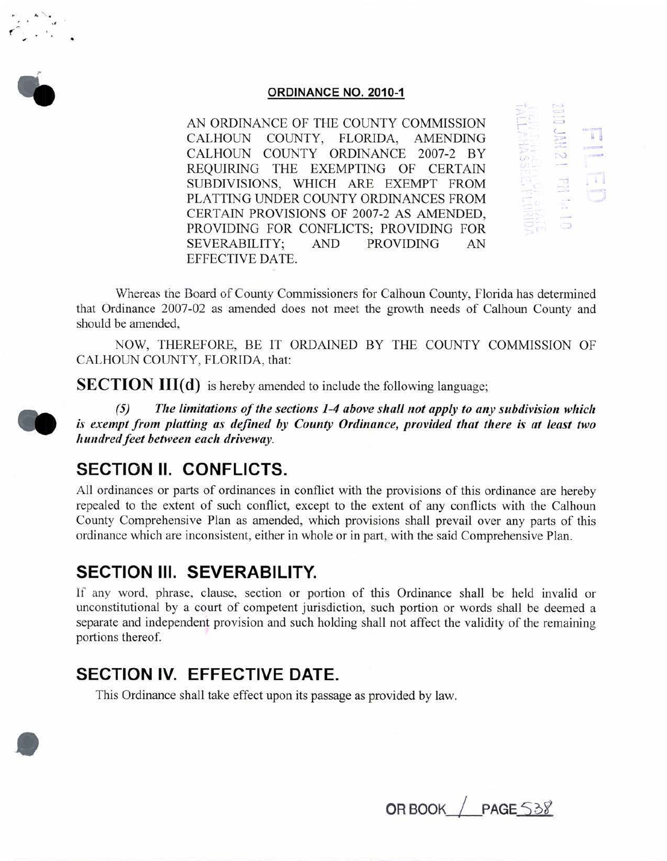

**.** 

..

## **ORDINANCE NO. 2010-1**

AN ORDINANCE OF THE COUNTY COMMISSION CALHOUN COUNTY, FLORIDA, AMENDING CALHOUN COUNTY ORDINANCE 2007-2 BY REQUIRING THE EXEMPTING OF CERTAIN SUBDIVISIONS, WHICH ARE EXEMPT FROM PLATTING UNDER COUNTY ORDINANCES FROM CERTAIN PROVISIONS OF 2007-2 AS AMENDED, PROVIDING FOR CONFLICTS; PROVIDING FOR SEVERABILITY; AND PROVIDING AN EFFECTIVE DATE.

r  $\mathbb{S}^1$ *( \_* 

Whereas the Board of County Commissioners for Calhoun County, Florida has determined that Ordinance 2007-02 as amended does not meet the growth needs of Calhoun County and should be amended,

NOW, THEREFORE, BE IT ORDAINED BY THE COUNTY COMMISSION OF CALHOUN COUNTY, FLORIDA, that:

**SECTION III(d)** is hereby amended to include the following language;

*(5) The limitations of the sections 1-4 above shall not apply to any subdivision which is exempt from platting as defined by County Ordinance, provided that there is at least two hundred feet between each driveway.* 

## **SECTION II. CONFLICTS.**

All ordinances or parts of ordinances in conflict with the provisions of this ordinance are hereby repealed to the extent of such conflict, except to the extent of any conflicts with the Calhoun County Comprehensive Plan as amended, which provisions shall prevail over any parts of this ordinance which are inconsistent, either in whole or *in* part, with the said Comprehensive Plan.

## **SECTION Ill. SEVERABILITY.**

If any word, phrase, clause, section or portion of this Ordinance shall be held invalid or unconstitutional by a court of competent jurisdiction, such portion or words shall be deemed a separate and independent provision and such holding shall not affect the validity of the remaining portions thereof.

## **SECTION IV. EFFECTIVE DATE.**

This Ordinance shall take effect upon its passage as provided by law.

**OR BOOK** / PAGE 538